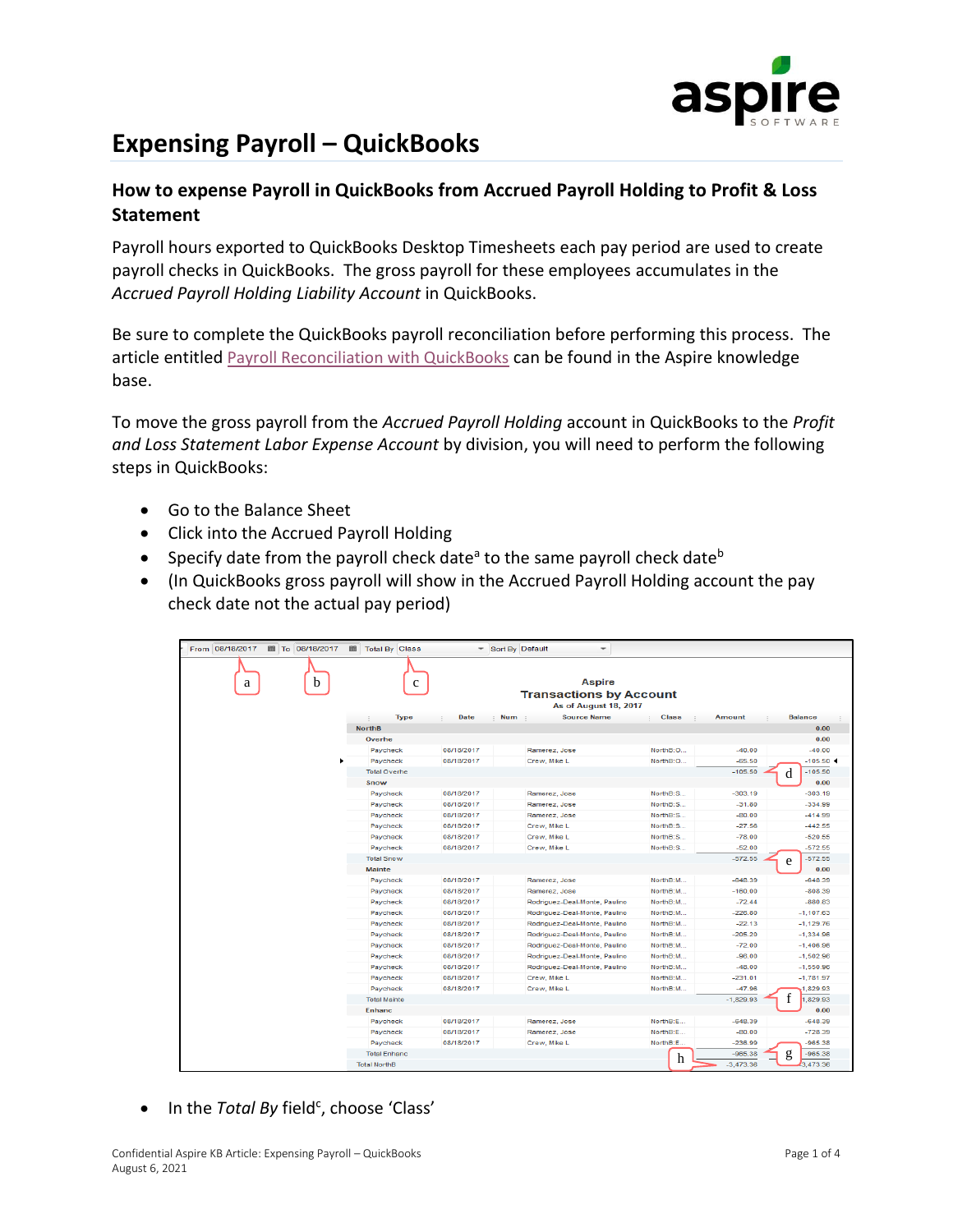

## **Expensing Payroll – QuickBooks**

## **How to expense Payroll in QuickBooks from Accrued Payroll Holding to Profit & Loss Statement**

Payroll hours exported to QuickBooks Desktop Timesheets each pay period are used to create payroll checks in QuickBooks. The gross payroll for these employees accumulates in the *Accrued Payroll Holding Liability Account* in QuickBooks.

Be sure to complete the QuickBooks payroll reconciliation before performing this process. The article entitled [Payroll Reconciliation with QuickBooks](https://www.youraspire.com/hubfs/Knowledge%20Base/Controller-Accountant-Payroll/Payroll/Payroll%20Reconciliation%20with%20QuickBooks%20V2.pdf) can be found in the Aspire knowledge base.

To move the gross payroll from the *Accrued Payroll Holding* account in QuickBooks to the *Profit and Loss Statement Labor Expense Account* by division, you will need to perform the following steps in QuickBooks:

- Go to the Balance Sheet
- Click into the Accrued Payroll Holding
- Specify date from the payroll check date<sup>a</sup> to the same payroll check date<sup>b</sup>
- (In QuickBooks gross payroll will show in the Accrued Payroll Holding account the pay check date not the actual pay period)

| From 08/18/2017<br>■ To 08/18/2017 | ■ Total By Class      | Sort By Default | $\overline{\phantom{a}}$                                                 |                        |               |                |
|------------------------------------|-----------------------|-----------------|--------------------------------------------------------------------------|------------------------|---------------|----------------|
| h<br>a                             | c                     |                 | <b>Aspire</b><br><b>Transactions by Account</b><br>As of August 18, 2017 |                        |               |                |
|                                    | <b>Type</b><br>$\sim$ | Date<br>: Num : | <b>Source Name</b>                                                       | <b>Class</b><br>$\sim$ | <b>Amount</b> | <b>Balance</b> |
|                                    | <b>NorthB</b>         |                 |                                                                          |                        |               | 0.00           |
|                                    | Overhe                |                 |                                                                          |                        |               | 0.00           |
|                                    | Paycheck              | 08/18/2017      | Ramerez, Jose                                                            | NorthB:O               | $-40.00$      | $-40.00$       |
|                                    | Paycheck              | 08/18/2017      | Crew, Mike L                                                             | NorthB:O               | $-65.50$      | $-105.50 -$    |
|                                    | <b>Total Overhe</b>   |                 |                                                                          |                        | $-105.50$     | $-105.50$<br>d |
|                                    | Snow                  |                 |                                                                          |                        |               | 0.00           |
|                                    | Paycheck              | 08/18/2017      | Ramerez, Jose                                                            | NorthB:S               | $-303.19$     | $-303.19$      |
|                                    | Paycheck              | 08/18/2017      | Ramerez, Jose                                                            | NorthB:S               | $-31.80$      | $-334.99$      |
|                                    | Paycheck              | 08/18/2017      | Ramerez, Jose                                                            | NorthB:S               | $-80.00$      | $-414.99$      |
|                                    | Paycheck              | 08/18/2017      | Crew, Mike L.                                                            | NorthB:S               | $-27.56$      | $-442.55$      |
|                                    | Paycheck              | 08/18/2017      | Crew, Mike L                                                             | NorthB:S               | $-78.00$      | $-520.55$      |
|                                    | Paycheck              | 08/18/2017      | Crew, Mike L                                                             | NorthB:S               | $-52.00$      | $-572.55$      |
|                                    | <b>Total Snow</b>     |                 |                                                                          |                        | $-572.55$     | $-572.55$<br>e |
|                                    | <b>Mainte</b>         |                 |                                                                          |                        |               | 0.00           |
|                                    | Paycheck              | 08/18/2017      | Ramerez, Jose                                                            | NorthB:M               | $-648.39$     | $-648.39$      |
|                                    | Paycheck              | 08/18/2017      | Ramerez, Jose                                                            | NorthB:M               | $-160.00$     | $-808.39$      |
|                                    | Paycheck              | 08/18/2017      | Rodriguez-Deal-Monte, Paulino                                            | NorthB:M               | $-72.44$      | $-880.83$      |
|                                    | Paycheck              | 08/18/2017      | Rodriguez-Deal-Monte, Paulino                                            | NorthB:M               | $-226.80$     | $-1.107.63$    |
|                                    | Paycheck              | 08/18/2017      | Rodriguez-Deal-Monte, Paulino                                            | NorthB:M               | $-22.13$      | $-1,129.76$    |
|                                    | Paycheck              | 08/18/2017      | Rodriguez-Deal-Monte, Paulino                                            | NorthB:M               | $-205.20$     | $-1.334.96$    |
|                                    | Paycheck              | 08/18/2017      | Rodriguez-Deal-Monte, Paulino                                            | NorthB:M               | $-72.00$      | $-1,406.96$    |
|                                    | Paycheck              | 08/18/2017      | Rodriquez-Deal-Monte, Paulino                                            | NorthB:M               | $-96.00$      | $-1,502.96$    |
|                                    | Paycheck              | 08/18/2017      | Rodriguez-Deal-Monte, Paulino                                            | NorthB:M               | $-48,00$      | $-1,550.96$    |
|                                    | Paycheck              | 08/18/2017      | Crew, Mike L                                                             | NorthB:M               | $-231.01$     | $-1,781.97$    |
|                                    | Paycheck              | 08/18/2017      | Crew, Mike L                                                             | NorthB:M               | $-47.96$      | 1,829.93       |
|                                    | <b>Total Mainte</b>   |                 |                                                                          |                        | $-1.829.93$   | f<br>1,829.93  |
|                                    | <b>Enhanc</b>         |                 |                                                                          |                        |               | 0.00           |
|                                    | Paycheck              | 08/18/2017      | Ramerez, Jose                                                            | NorthB:E               | $-648.39$     | $-648.39$      |
|                                    | Paycheck              | 08/18/2017      | Ramerez, Jose                                                            | NorthB:E               | $-80.00$      | $-728.39$      |
|                                    | Paycheck              | 08/18/2017      | Crew, Mike L                                                             | NorthB:E               | $-236.99$     | 965.38         |
|                                    | <b>Total Enhanc</b>   |                 |                                                                          | h                      | $-965.38$     | $-965.38$<br>g |
|                                    | <b>Total NorthB</b>   |                 |                                                                          |                        | $-3.473.36$   | 3.473.36       |

• In the *Total By* field<sup>c</sup>, choose 'Class'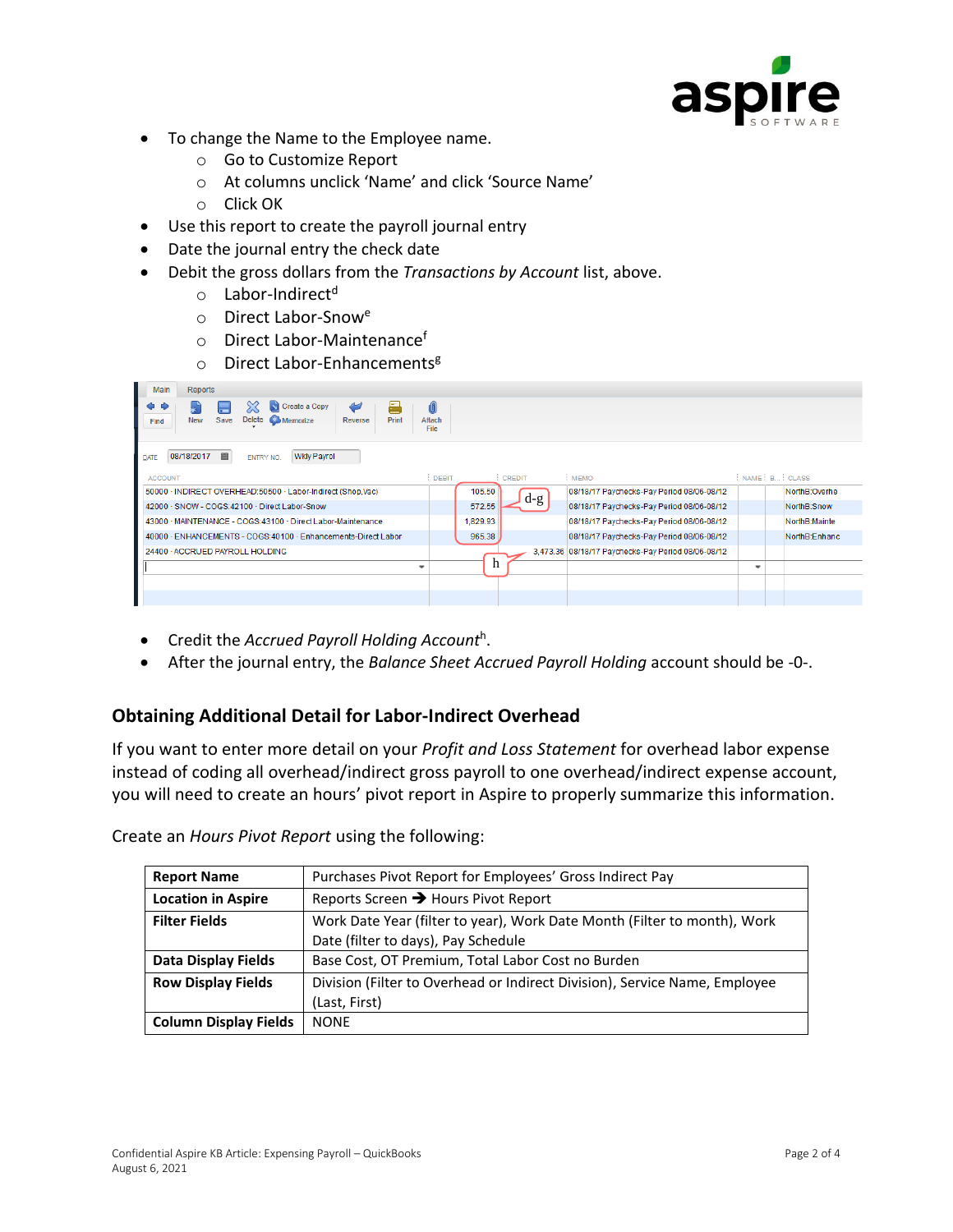

- To change the Name to the Employee name.
	- o Go to Customize Report
	- o At columns unclick 'Name' and click 'Source Name'
	- o Click OK
- Use this report to create the payroll journal entry
- Date the journal entry the check date
- Debit the gross dollars from the *Transactions by Account* list, above.
	- o Labor-Indirect<sup>d</sup>
	- o Direct Labor-Snow<sup>e</sup>
	- o Direct Labor-Maintenance<sup>f</sup>
	- $\circ$  Direct Labor-Enhancements<sup>g</sup>

| Main<br><b>Reports</b>                                                                                  |                          |          |               |                                                    |                          |                |
|---------------------------------------------------------------------------------------------------------|--------------------------|----------|---------------|----------------------------------------------------|--------------------------|----------------|
| 튼<br>N<br>$\breve{~}$<br>Create a Copy<br>Delete<br>Save<br>Print<br>Memorize<br>New<br>Reverse<br>Find | 0<br>Attach<br>File      |          |               |                                                    |                          |                |
| 画<br>08/18/2017<br><b>Wkly Payrol</b><br>ENTRY NO.<br>$\overline{\text{DATE}}$                          |                          |          |               |                                                    |                          |                |
| <b>ACCOUNT</b>                                                                                          | DEBIT                    |          | <b>CREDIT</b> | : MEMO                                             |                          | NAME: B: CLASS |
| 50000 · INDIRECT OVERHEAD:50500 · Labor-Indirect (Shop,Vac)                                             |                          | 105.50   |               | 08/18/17 Pavchecks-Pav Period 08/06-08/12          |                          | NorthB:Overhe  |
| 42000 · SNOW - COGS:42100 · Direct Labor-Snow                                                           |                          | 572.55   | d-g           | 08/18/17 Paychecks-Pay Period 08/06-08/12          |                          | NorthB:Snow    |
| 43000 · MAINTENANCE - COGS:43100 · Direct Labor-Maintenance                                             |                          | 1.829.93 |               | 08/18/17 Paychecks-Pay Period 08/06-08/12          |                          | NorthB:Mainte  |
| 40000 · ENHANCEMENTS - COGS: 40100 · Enhancements-Direct Labor                                          |                          | 965.38   |               | 08/18/17 Paychecks-Pay Period 08/06-08/12          |                          | NorthB:Enhanc  |
| 24400 - ACCRUED PAYROLL HOLDING                                                                         |                          |          |               | 3.473.36 08/18/17 Paychecks-Pay Period 08/06-08/12 |                          |                |
|                                                                                                         | $\overline{\phantom{a}}$ | n        |               |                                                    | $\overline{\phantom{a}}$ |                |
|                                                                                                         |                          |          |               |                                                    |                          |                |
|                                                                                                         |                          |          |               |                                                    |                          |                |

- Credit the *Accrued Payroll Holding Account*<sup>h</sup> .
- After the journal entry, the *Balance Sheet Accrued Payroll Holding* account should be -0-.

## **Obtaining Additional Detail for Labor-Indirect Overhead**

If you want to enter more detail on your *Profit and Loss Statement* for overhead labor expense instead of coding all overhead/indirect gross payroll to one overhead/indirect expense account, you will need to create an hours' pivot report in Aspire to properly summarize this information.

| <b>Report Name</b>           | Purchases Pivot Report for Employees' Gross Indirect Pay                   |
|------------------------------|----------------------------------------------------------------------------|
| <b>Location in Aspire</b>    | Reports Screen → Hours Pivot Report                                        |
| <b>Filter Fields</b>         | Work Date Year (filter to year), Work Date Month (Filter to month), Work   |
|                              | Date (filter to days), Pay Schedule                                        |
| Data Display Fields          | Base Cost, OT Premium, Total Labor Cost no Burden                          |
| <b>Row Display Fields</b>    | Division (Filter to Overhead or Indirect Division), Service Name, Employee |
|                              | (Last, First)                                                              |
| <b>Column Display Fields</b> | <b>NONF</b>                                                                |

Create an *Hours Pivot Report* using the following: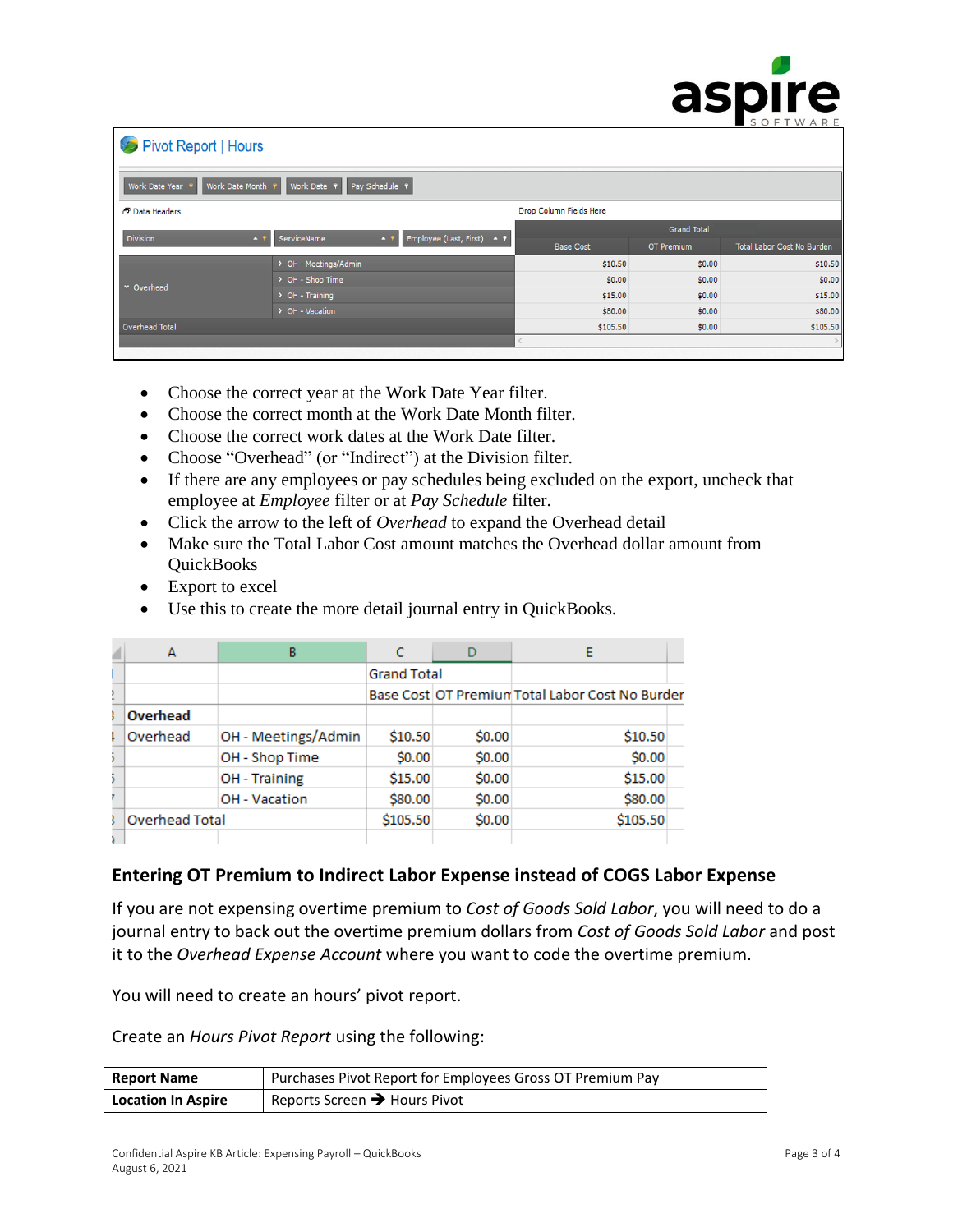|                                   |                                                            |                         |                    | GJMI C<br>SOFTWARE         |
|-----------------------------------|------------------------------------------------------------|-------------------------|--------------------|----------------------------|
| Pivot Report   Hours              |                                                            |                         |                    |                            |
| Work Date Month<br>Work Date Year | Pay Schedule 9<br>Work Date ?                              |                         |                    |                            |
| <b>&amp;</b> Data Headers         |                                                            | Drop Column Fields Here |                    |                            |
| <b>Division</b><br>$+$ 9          | Employee (Last, First)<br>ServiceName<br>$+$ 9<br>$\sim$ 9 |                         | <b>Grand Total</b> |                            |
|                                   |                                                            | <b>Base Cost</b>        | OT Premium         | Total Labor Cost No Burden |
|                                   | > OH - Meetings/Admin                                      | \$10.50                 | \$0.00             | \$10.50                    |
| v Overhead                        | > OH - Shop Time                                           | \$0.00                  | \$0.00             | \$0.00                     |
|                                   | $\triangleright$ OH - Training                             | \$15.00                 | \$0.00             | \$15.00                    |
|                                   | > OH - Vacation                                            | \$80.00                 | \$0.00             | \$80.00                    |
| Overhead Total                    |                                                            | \$105.50                | \$0.00             | \$105.50                   |
|                                   |                                                            |                         |                    |                            |
|                                   |                                                            |                         |                    |                            |

- Choose the correct year at the Work Date Year filter.
- Choose the correct month at the Work Date Month filter.
- Choose the correct work dates at the Work Date filter.
- Choose "Overhead" (or "Indirect") at the Division filter.
- If there are any employees or pay schedules being excluded on the export, uncheck that employee at *Employee* filter or at *Pay Schedule* filter.
- Click the arrow to the left of *Overhead* to expand the Overhead detail
- Make sure the Total Labor Cost amount matches the Overhead dollar amount from **QuickBooks**
- Export to excel
- Use this to create the more detail journal entry in QuickBooks.

| А                     | в                    |                    |        |                                                 |  |
|-----------------------|----------------------|--------------------|--------|-------------------------------------------------|--|
|                       |                      | <b>Grand Total</b> |        |                                                 |  |
|                       |                      |                    |        | Base Cost OT Premium Total Labor Cost No Burder |  |
| Overhead              |                      |                    |        |                                                 |  |
| Overhead              | OH - Meetings/Admin  | \$10.50            | \$0.00 | \$10.50                                         |  |
|                       | OH - Shop Time       | \$0.00             | \$0.00 | \$0.00                                          |  |
|                       | <b>OH</b> - Training | \$15.00            | \$0.00 | \$15.00                                         |  |
|                       | <b>OH</b> - Vacation | \$80.00            | \$0.00 | \$80.00                                         |  |
| <b>Overhead Total</b> |                      | \$105.50           | \$0.00 | \$105.50                                        |  |
|                       |                      |                    |        |                                                 |  |

## **Entering OT Premium to Indirect Labor Expense instead of COGS Labor Expense**

If you are not expensing overtime premium to *Cost of Goods Sold Labor*, you will need to do a journal entry to back out the overtime premium dollars from *Cost of Goods Sold Labor* and post it to the *Overhead Expense Account* where you want to code the overtime premium.

You will need to create an hours' pivot report.

Create an *Hours Pivot Report* using the following:

| <b>Report Name</b>        | Purchases Pivot Report for Employees Gross OT Premium Pay |
|---------------------------|-----------------------------------------------------------|
| <b>Location In Aspire</b> | Reports Screen $\rightarrow$ Hours Pivot                  |

SCINIFA